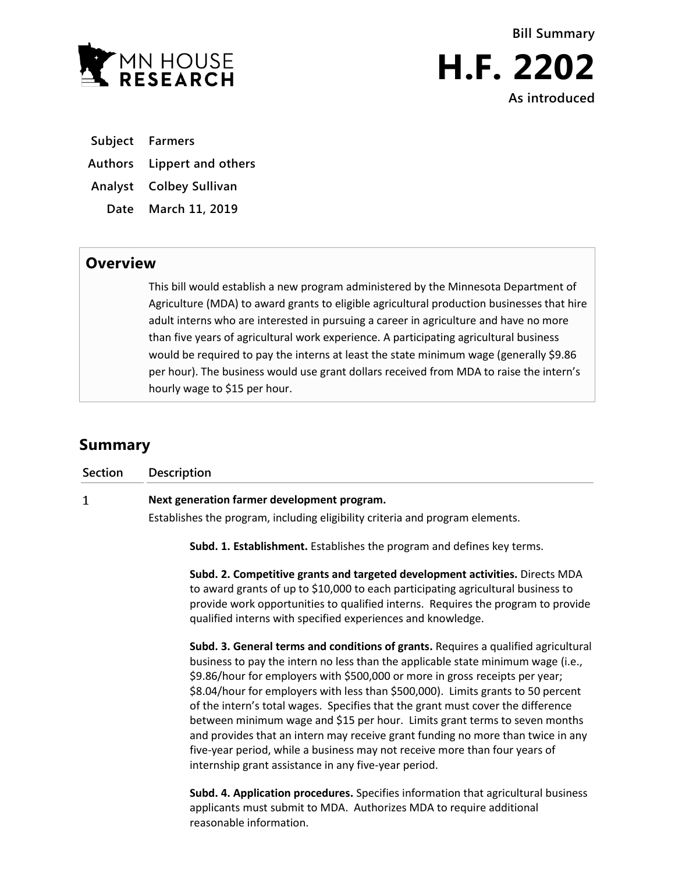

**Subject Farmers**

**Authors Lippert and others**

**Analyst Colbey Sullivan**

**Date March 11, 2019**

## **Overview**

This bill would establish a new program administered by the Minnesota Department of Agriculture (MDA) to award grants to eligible agricultural production businesses that hire adult interns who are interested in pursuing a career in agriculture and have no more than five years of agricultural work experience. A participating agricultural business would be required to pay the interns at least the state minimum wage (generally \$9.86 per hour). The business would use grant dollars received from MDA to raise the intern's hourly wage to \$15 per hour.

## **Summary**

| <b>Section</b> | <b>Description</b>                                                                                                                                                                                                                                                                                                                                                                                                                                                                                                                                                                                                                                                                                                                   |
|----------------|--------------------------------------------------------------------------------------------------------------------------------------------------------------------------------------------------------------------------------------------------------------------------------------------------------------------------------------------------------------------------------------------------------------------------------------------------------------------------------------------------------------------------------------------------------------------------------------------------------------------------------------------------------------------------------------------------------------------------------------|
| 1              | Next generation farmer development program.                                                                                                                                                                                                                                                                                                                                                                                                                                                                                                                                                                                                                                                                                          |
|                | Establishes the program, including eligibility criteria and program elements.                                                                                                                                                                                                                                                                                                                                                                                                                                                                                                                                                                                                                                                        |
|                | Subd. 1. Establishment. Establishes the program and defines key terms.                                                                                                                                                                                                                                                                                                                                                                                                                                                                                                                                                                                                                                                               |
|                | Subd. 2. Competitive grants and targeted development activities. Directs MDA<br>to award grants of up to \$10,000 to each participating agricultural business to<br>provide work opportunities to qualified interns. Requires the program to provide<br>qualified interns with specified experiences and knowledge.                                                                                                                                                                                                                                                                                                                                                                                                                  |
|                | Subd. 3. General terms and conditions of grants. Requires a qualified agricultural<br>business to pay the intern no less than the applicable state minimum wage (i.e.,<br>\$9.86/hour for employers with \$500,000 or more in gross receipts per year;<br>\$8.04/hour for employers with less than \$500,000). Limits grants to 50 percent<br>of the intern's total wages. Specifies that the grant must cover the difference<br>between minimum wage and \$15 per hour. Limits grant terms to seven months<br>and provides that an intern may receive grant funding no more than twice in any<br>five-year period, while a business may not receive more than four years of<br>internship grant assistance in any five-year period. |
|                | Subd. 4. Application procedures. Specifies information that agricultural business<br>applicants must submit to MDA. Authorizes MDA to require additional                                                                                                                                                                                                                                                                                                                                                                                                                                                                                                                                                                             |

reasonable information.